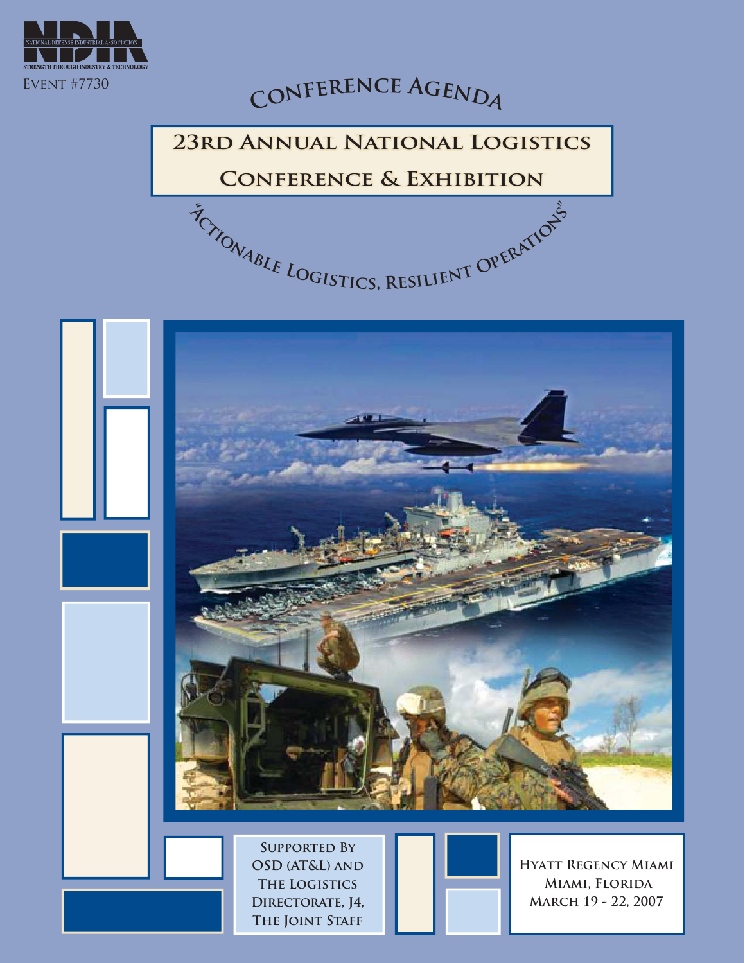

# $C$ **ONFERENCE AGENDA**

#### **23RD ANNUAL NATIONAL LOGISTICS**

#### **CONFERENCE & EXHIBITION**

**TONIBLE LOGISTICS, RESILIENT OPERATIONS** 



**Supported By OSD (AT&L) and The Logistics Directorate, J4, The Joint Staff**



**Hyatt Regency Miami Miami, Florida March 19 - 22, 2007**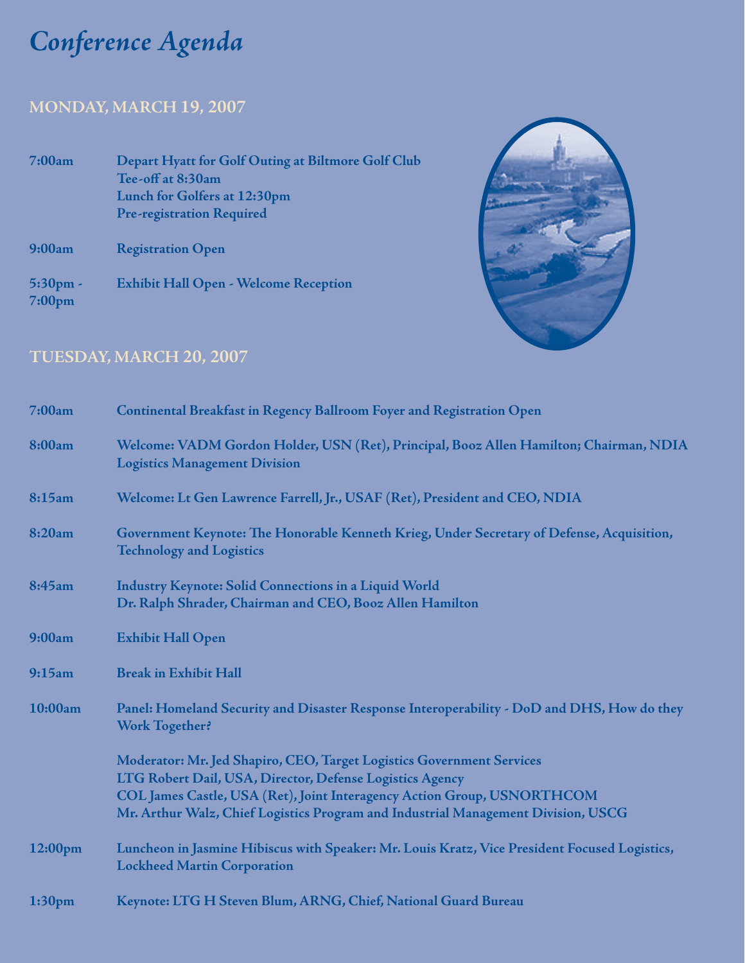# *Conference Agenda onference*

### **MONDAY, MARCH 19, 2007**

| 7:00am                                 | Depart Hyatt for Golf Outing at Biltmore Golf Club<br>Tee-off at 8:30am<br>Lunch for Golfers at 12:30pm<br><b>Pre-registration Required</b> |
|----------------------------------------|---------------------------------------------------------------------------------------------------------------------------------------------|
| 9:00am                                 | <b>Registration Open</b>                                                                                                                    |
| $5:30 \text{pm}$<br>7:00 <sub>pm</sub> | <b>Exhibit Hall Open - Welcome Reception</b>                                                                                                |



#### **TUESDAY, MARCH 20, 2007**

| 7:00am             | Continental Breakfast in Regency Ballroom Foyer and Registration Open                                                                                                                                        |
|--------------------|--------------------------------------------------------------------------------------------------------------------------------------------------------------------------------------------------------------|
| 8:00am             | Welcome: VADM Gordon Holder, USN (Ret), Principal, Booz Allen Hamilton; Chairman, NDIA<br><b>Logistics Management Division</b>                                                                               |
| 8:15am             | Welcome: Lt Gen Lawrence Farrell, Jr., USAF (Ret), President and CEO, NDIA                                                                                                                                   |
| 8:20am             | Government Keynote: The Honorable Kenneth Krieg, Under Secretary of Defense, Acquisition,<br><b>Technology and Logistics</b>                                                                                 |
| 8:45am             | <b>Industry Keynote: Solid Connections in a Liquid World</b><br>Dr. Ralph Shrader, Chairman and CEO, Booz Allen Hamilton                                                                                     |
| 9:00am             | <b>Exhibit Hall Open</b>                                                                                                                                                                                     |
| 9:15am             | <b>Break in Exhibit Hall</b>                                                                                                                                                                                 |
| 10:00am            | Panel: Homeland Security and Disaster Response Interoperability - DoD and DHS, How do they<br><b>Work Together?</b>                                                                                          |
|                    | Moderator: Mr. Jed Shapiro, CEO, Target Logistics Government Services<br>LTG Robert Dail, USA, Director, Defense Logistics Agency<br>COL James Castle, USA (Ret), Joint Interagency Action Group, USNORTHCOM |
|                    | Mr. Arthur Walz, Chief Logistics Program and Industrial Management Division, USCG                                                                                                                            |
| $12:00 \text{pm}$  | Luncheon in Jasmine Hibiscus with Speaker: Mr. Louis Kratz, Vice President Focused Logistics,<br><b>Lockheed Martin Corporation</b>                                                                          |
| 1:30 <sub>pm</sub> | Keynote: LTG H Steven Blum, ARNG, Chief, National Guard Bureau                                                                                                                                               |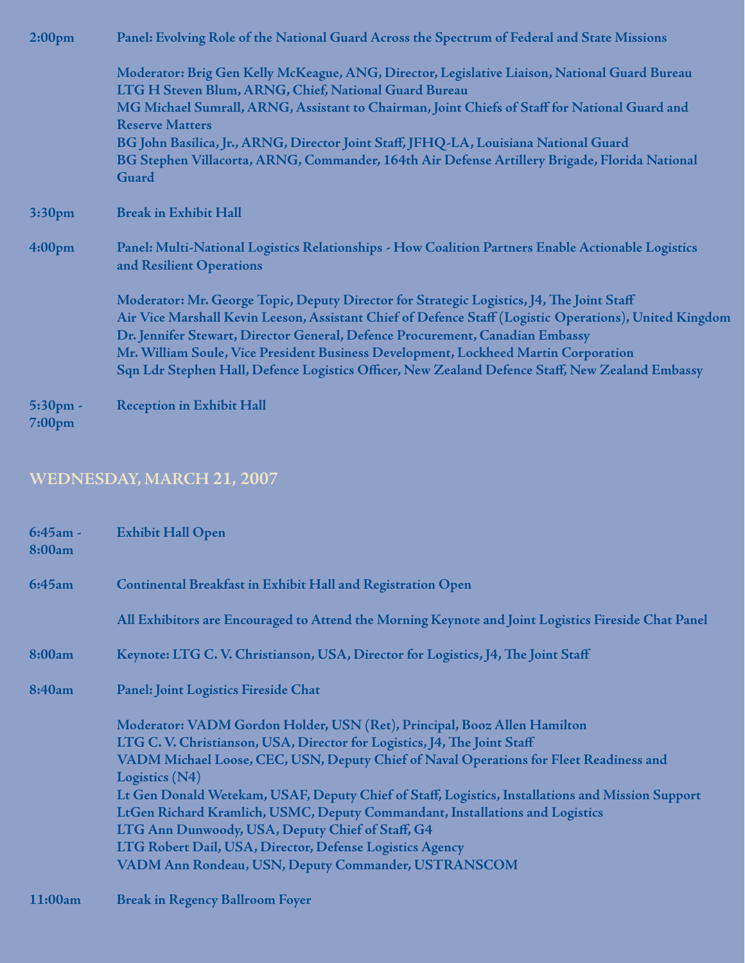| 2:00 <sub>pm</sub>    | Panel: Evolving Role of the National Guard Across the Spectrum of Federal and State Missions                                   |  |
|-----------------------|--------------------------------------------------------------------------------------------------------------------------------|--|
|                       | Moderator: Brig Gen Kelly McKeague, ANG, Director, Legislative Liaison, National Guard Bureau                                  |  |
|                       | LTG H Steven Blum, ARNG, Chief, National Guard Bureau                                                                          |  |
|                       | MG Michael Sumrall, ARNG, Assistant to Chairman, Joint Chiefs of Staff for National Guard and<br><b>Reserve Matters</b>        |  |
|                       | BG John Basilica, Jr., ARNG, Director Joint Staff, JFHQ-LA, Louisiana National Guard                                           |  |
|                       | BG Stephen Villacorta, ARNG, Commander, 164th Air Defense Artillery Brigade, Florida National<br>Guard                         |  |
| 3:30 <sub>pm</sub>    | <b>Break in Exhibit Hall</b>                                                                                                   |  |
| 4:00 <sub>pm</sub>    | Panel: Multi-National Logistics Relationships - How Coalition Partners Enable Actionable Logistics<br>and Resilient Operations |  |
|                       | Moderator: Mr. George Topic, Deputy Director for Strategic Logistics, J4, The Joint Staff                                      |  |
|                       | Air Vice Marshall Kevin Leeson, Assistant Chief of Defence Staff (Logistic Operations), United Kingdom                         |  |
|                       | Dr. Jennifer Stewart, Director General, Defence Procurement, Canadian Embassy                                                  |  |
|                       | Mr. William Soule, Vice President Business Development, Lockheed Martin Corporation                                            |  |
|                       | Sqn Ldr Stephen Hall, Defence Logistics Officer, New Zealand Defence Staff, New Zealand Embassy                                |  |
| $5:30$ pm -<br>7:00pm | <b>Reception in Exhibit Hall</b>                                                                                               |  |

#### **WEDNESDAY, MARCH 21, 2007**

| $6:45am -$<br>8:00am | <b>Exhibit Hall Open</b>                                                                                                                            |
|----------------------|-----------------------------------------------------------------------------------------------------------------------------------------------------|
| 6:45am               | <b>Continental Breakfast in Exhibit Hall and Registration Open</b>                                                                                  |
|                      | All Exhibitors are Encouraged to Attend the Morning Keynote and Joint Logistics Fireside Chat Panel                                                 |
| 8:00am               | Keynote: LTG C.V. Christianson, USA, Director for Logistics, J4, The Joint Staff                                                                    |
| 8:40am               | Panel: Joint Logistics Fireside Chat                                                                                                                |
|                      | Moderator: VADM Gordon Holder, USN (Ret), Principal, Booz Allen Hamilton<br>LTG C.V. Christianson, USA, Director for Logistics, J4, The Joint Staff |
|                      | VADM Michael Loose, CEC, USN, Deputy Chief of Naval Operations for Fleet Readiness and<br>Logistics (N4)                                            |
|                      | Lt Gen Donald Wetekam, USAF, Deputy Chief of Staff, Logistics, Installations and Mission Support                                                    |
|                      | LtGen Richard Kramlich, USMC, Deputy Commandant, Installations and Logistics                                                                        |
|                      | LTG Ann Dunwoody, USA, Deputy Chief of Staff, G4                                                                                                    |
|                      | LTG Robert Dail, USA, Director, Defense Logistics Agency                                                                                            |
|                      | VADM Ann Rondeau, USN, Deputy Commander, USTRANSCOM                                                                                                 |
| 11:00am              | <b>Break in Regency Ballroom Foyer</b>                                                                                                              |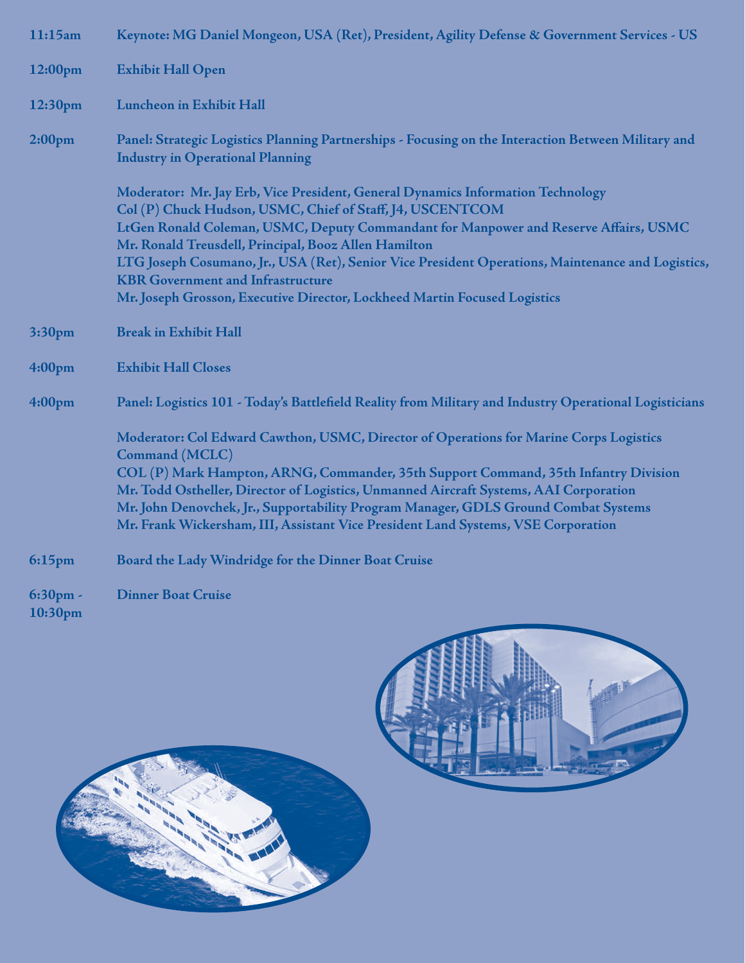| 11:15am            | Keynote: MG Daniel Mongeon, USA (Ret), President, Agility Defense & Government Services - US                                                                                 |
|--------------------|------------------------------------------------------------------------------------------------------------------------------------------------------------------------------|
| 12:00pm            | <b>Exhibit Hall Open</b>                                                                                                                                                     |
| 12:30pm            | <b>Luncheon in Exhibit Hall</b>                                                                                                                                              |
| 2:00 <sub>pm</sub> | Panel: Strategic Logistics Planning Partnerships - Focusing on the Interaction Between Military and<br><b>Industry in Operational Planning</b>                               |
|                    | Moderator: Mr. Jay Erb, Vice President, General Dynamics Information Technology<br>Col (P) Chuck Hudson, USMC, Chief of Staff, J4, USCENTCOM                                 |
|                    | LtGen Ronald Coleman, USMC, Deputy Commandant for Manpower and Reserve Affairs, USMC<br>Mr. Ronald Treusdell, Principal, Booz Allen Hamilton                                 |
|                    | LTG Joseph Cosumano, Jr., USA (Ret), Senior Vice President Operations, Maintenance and Logistics,<br><b>KBR Government and Infrastructure</b>                                |
|                    | Mr. Joseph Grosson, Executive Director, Lockheed Martin Focused Logistics                                                                                                    |
| 3:30pm             | <b>Break in Exhibit Hall</b>                                                                                                                                                 |
| 4:00 <sub>pm</sub> | <b>Exhibit Hall Closes</b>                                                                                                                                                   |
| 4:00 <sub>pm</sub> | Panel: Logistics 101 - Today's Battlefield Reality from Military and Industry Operational Logisticians                                                                       |
|                    | Moderator: Col Edward Cawthon, USMC, Director of Operations for Marine Corps Logistics<br>Command (MCLC)                                                                     |
|                    | COL (P) Mark Hampton, ARNG, Commander, 35th Support Command, 35th Infantry Division                                                                                          |
|                    | Mr. Todd Ostheller, Director of Logistics, Unmanned Aircraft Systems, AAI Corporation<br>Mr. John Denovchek, Jr., Supportability Program Manager, GDLS Ground Combat Systems |
|                    | Mr. Frank Wickersham, III, Assistant Vice President Land Systems, VSE Corporation                                                                                            |
| $6:15$ pm          | Board the Lady Windridge for the Dinner Boat Cruise                                                                                                                          |
| 6:30pm -           | <b>Dinner Boat Cruise</b>                                                                                                                                                    |

**10:30pm**



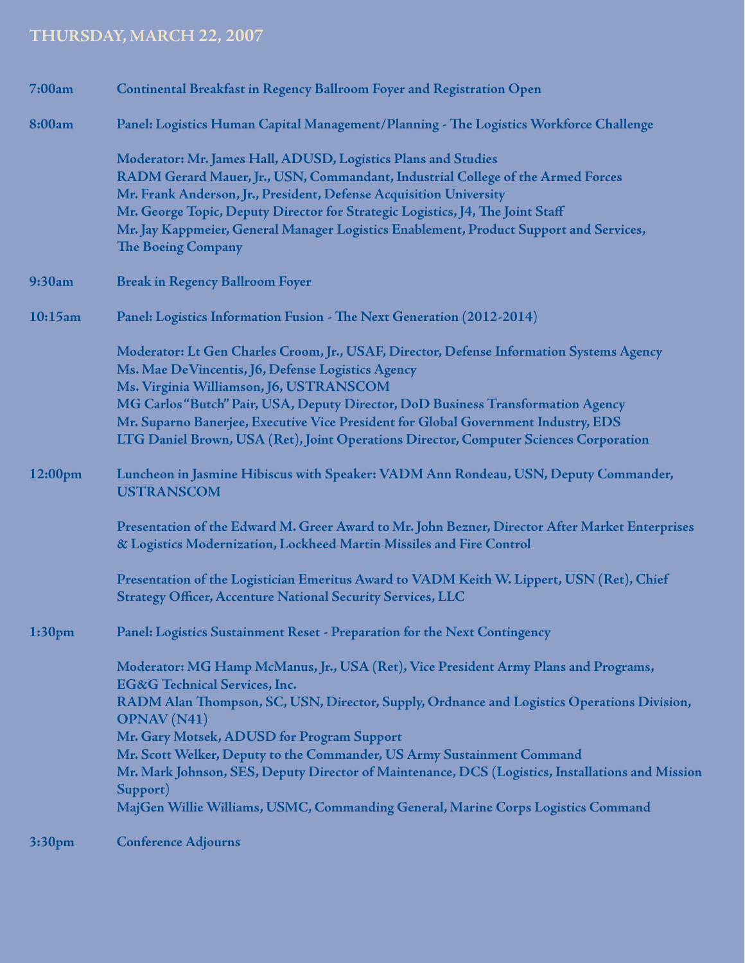#### THURSDAY, MARCH 22, 2007

| 7:00am             | Continental Breakfast in Regency Ballroom Foyer and Registration Open                                                                                                                                                                                                                                                                                                                                                                                                                                                                                                           |
|--------------------|---------------------------------------------------------------------------------------------------------------------------------------------------------------------------------------------------------------------------------------------------------------------------------------------------------------------------------------------------------------------------------------------------------------------------------------------------------------------------------------------------------------------------------------------------------------------------------|
| 8:00am             | Panel: Logistics Human Capital Management/Planning - The Logistics Workforce Challenge                                                                                                                                                                                                                                                                                                                                                                                                                                                                                          |
|                    | Moderator: Mr. James Hall, ADUSD, Logistics Plans and Studies<br>RADM Gerard Mauer, Jr., USN, Commandant, Industrial College of the Armed Forces<br>Mr. Frank Anderson, Jr., President, Defense Acquisition University<br>Mr. George Topic, Deputy Director for Strategic Logistics, J4, The Joint Staff<br>Mr. Jay Kappmeier, General Manager Logistics Enablement, Product Support and Services,<br>The Boeing Company                                                                                                                                                        |
| 9:30am             | <b>Break in Regency Ballroom Foyer</b>                                                                                                                                                                                                                                                                                                                                                                                                                                                                                                                                          |
| 10:15am            | Panel: Logistics Information Fusion - The Next Generation (2012-2014)                                                                                                                                                                                                                                                                                                                                                                                                                                                                                                           |
|                    | Moderator: Lt Gen Charles Croom, Jr., USAF, Director, Defense Information Systems Agency<br>Ms. Mae De Vincentis, J6, Defense Logistics Agency<br>Ms. Virginia Williamson, J6, USTRANSCOM<br>MG Carlos "Butch" Pair, USA, Deputy Director, DoD Business Transformation Agency<br>Mr. Suparno Banerjee, Executive Vice President for Global Government Industry, EDS<br>LTG Daniel Brown, USA (Ret), Joint Operations Director, Computer Sciences Corporation                                                                                                                    |
| 12:00pm            | Luncheon in Jasmine Hibiscus with Speaker: VADM Ann Rondeau, USN, Deputy Commander,<br><b>USTRANSCOM</b>                                                                                                                                                                                                                                                                                                                                                                                                                                                                        |
|                    | Presentation of the Edward M. Greer Award to Mr. John Bezner, Director After Market Enterprises<br>& Logistics Modernization, Lockheed Martin Missiles and Fire Control                                                                                                                                                                                                                                                                                                                                                                                                         |
|                    | Presentation of the Logistician Emeritus Award to VADM Keith W. Lippert, USN (Ret), Chief<br><b>Strategy Officer, Accenture National Security Services, LLC</b>                                                                                                                                                                                                                                                                                                                                                                                                                 |
| 1:30 <sub>pm</sub> | Panel: Logistics Sustainment Reset - Preparation for the Next Contingency                                                                                                                                                                                                                                                                                                                                                                                                                                                                                                       |
|                    | Moderator: MG Hamp McManus, Jr., USA (Ret), Vice President Army Plans and Programs,<br><b>EG&amp;G</b> Technical Services, Inc.<br>RADM Alan Thompson, SC, USN, Director, Supply, Ordnance and Logistics Operations Division,<br><b>OPNAV</b> (N41)<br>Mr. Gary Motsek, ADUSD for Program Support<br>Mr. Scott Welker, Deputy to the Commander, US Army Sustainment Command<br>Mr. Mark Johnson, SES, Deputy Director of Maintenance, DCS (Logistics, Installations and Mission<br>Support)<br>MajGen Willie Williams, USMC, Commanding General, Marine Corps Logistics Command |
| 3:30 <sub>pm</sub> | <b>Conference Adjourns</b>                                                                                                                                                                                                                                                                                                                                                                                                                                                                                                                                                      |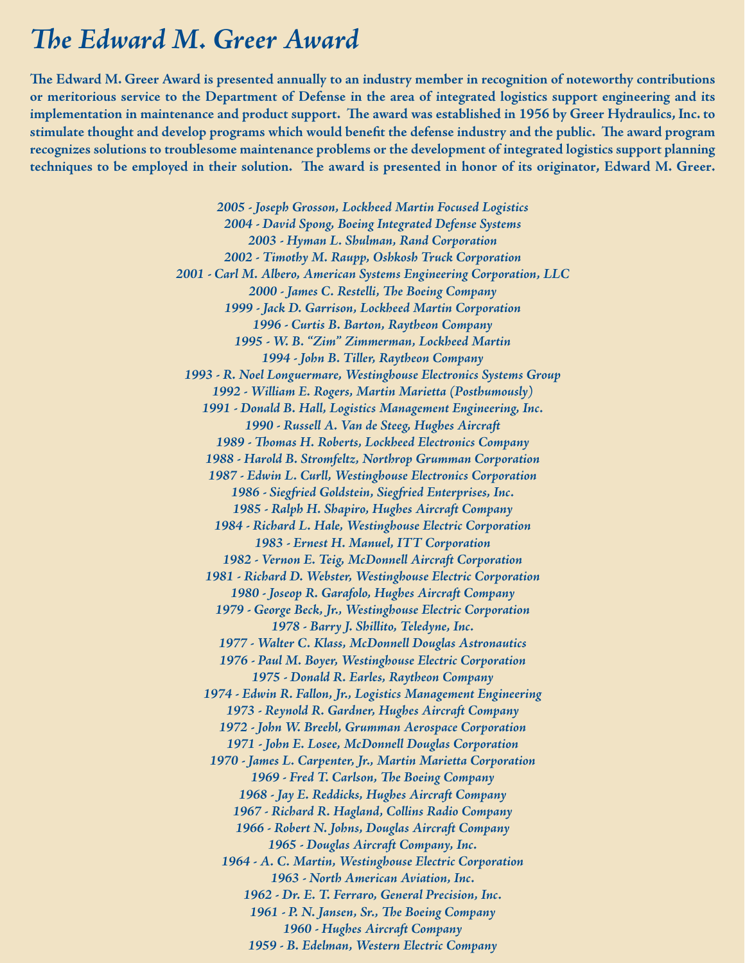#### *The Edward M. Greer Award*

The Edward M. Greer Award is presented annually to an industry member in recognition of noteworthy contributions **or meritorious service to the Department of Defense in the area of integrated logistics support engineering and its**  implementation in maintenance and product support. The award was established in 1956 by Greer Hydraulics, Inc. to stimulate thought and develop programs which would benefit the defense industry and the public. The award program **recognizes solutions to troublesome maintenance problems or the development of integrated logistics support planning**  techniques to be employed in their solution. The award is presented in honor of its originator, Edward M. Greer.

> *2005 - Joseph Grosson, Lockheed Martin Focused Logistics 2004 - David Spong, Boeing Integrated Defense Systems 2003 - Hyman L. Shulman, Rand Corporation 2002 - Timothy M. Raupp, Oshkosh Truck Corporation 2001 - Carl M. Albero, American Systems Engineering Corporation, LLC* 2000 - James C. Restelli, The Boeing Company *1999 - Jack D. Garrison, Lockheed Martin Corporation 1996 - Curtis B. Barton, Raytheon Company 1995 - W. B. "Zim" Zimmerman, Lockheed Martin 1994 - John B. Tiller, Raytheon Company 1993 - R. Noel Longuermare, Westinghouse Electronics Systems Group 1992 - William E. Rogers, Martin Marietta (Posthumously) 1991 - Donald B. Hall, Logistics Management Engineering, Inc. 1990 - Russell A. Van de Steeg, Hughes Aircraft* 1989 - Thomas H. Roberts, Lockheed Electronics Company *1988 - Harold B. Stromfeltz, Northrop Grumman Corporation 1987 - Edwin L. Curll, Westinghouse Electronics Corporation 1986 - Siegfried Goldstein, Siegfried Enterprises, Inc. 1985 - Ralph H. Shapiro, Hughes Aircraft Company 1984 - Richard L. Hale, Westinghouse Electric Corporation 1983 - Ernest H. Manuel, ITT Corporation 1982 - Vernon E. Teig, McDonnell Aircraft Corporation 1981 - Richard D. Webster, Westinghouse Electric Corporation 1980 - Joseop R. Garafolo, Hughes Aircraft Company 1979 - George Beck, Jr., Westinghouse Electric Corporation 1978 - Barry J. Shillito, Teledyne, Inc. 1977 - Walter C. Klass, McDonnell Douglas Astronautics 1976 - Paul M. Boyer, Westinghouse Electric Corporation 1975 - Donald R. Earles, Raytheon Company 1974 - Edwin R. Fallon, Jr., Logistics Management Engineering 1973 - Reynold R. Gardner, Hughes Aircraft Company 1972 - John W. Breehl, Grumman Aerospace Corporation 1971 - John E. Losee, McDonnell Douglas Corporation 1970 - James L. Carpenter, Jr., Martin Marietta Corporation* 1969 - Fred T. Carlson, The Boeing Company *1968 - Jay E. Reddicks, Hughes Aircraft Company 1967 - Richard R. Hagland, Collins Radio Company 1966 - Robert N. Johns, Douglas Aircraft Company 1965 - Douglas Aircraft Company, Inc. 1964 - A. C. Martin, Westinghouse Electric Corporation 1963 - North American Aviation, Inc. 1962 - Dr. E. T. Ferraro, General Precision, Inc.* 1961 - P. N. Jansen, Sr., The Boeing Company *1960 - Hughes Aircraft Company 1959 - B. Edelman, Western Electric Company*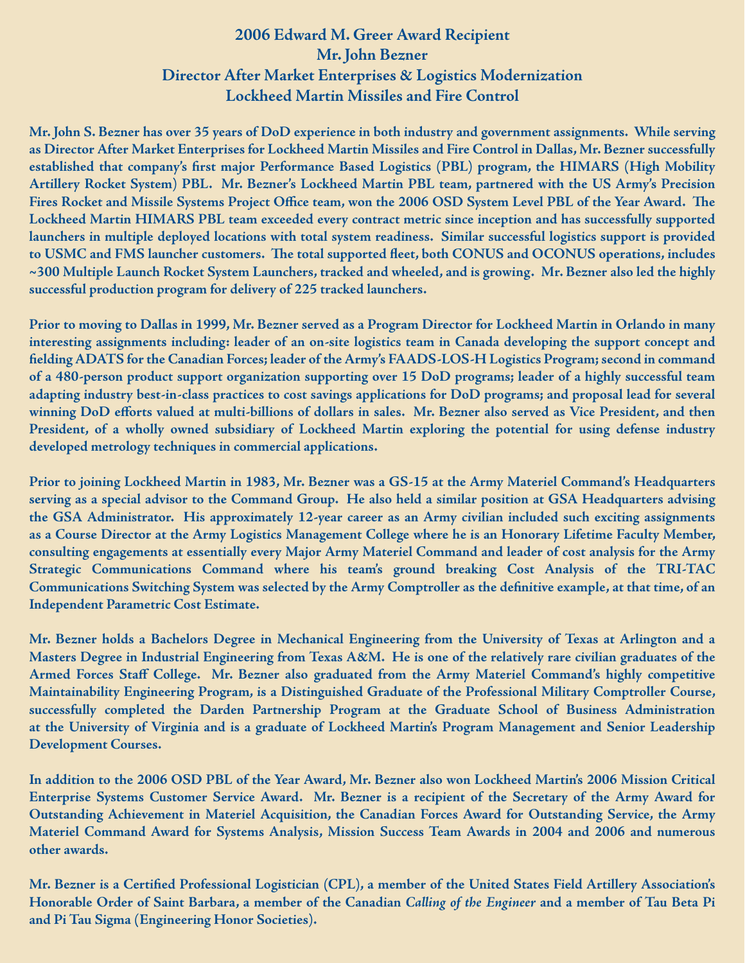#### **2006 Edward M. Greer Award Recipient Mr. John Bezner Director After Market Enterprises & Logistics Modernization Lockheed Martin Missiles and Fire Control**

**Mr. John S. Bezner has over 35 years of DoD experience in both industry and government assignments. While serving as Director After Market Enterprises for Lockheed Martin Missiles and Fire Control in Dallas, Mr. Bezner successfully** established that company's first major Performance Based Logistics (PBL) program, the HIMARS (High Mobility **Artillery Rocket System) PBL. Mr. Bezner's Lockheed Martin PBL team, partnered with the US Army's Precision**  Fires Rocket and Missile Systems Project Office team, won the 2006 OSD System Level PBL of the Year Award. The **Lockheed Martin HIMARS PBL team exceeded every contract metric since inception and has successfully supported launchers in multiple deployed locations with total system readiness. Similar successful logistics support is provided**  to USMC and FMS launcher customers. The total supported fleet, both CONUS and OCONUS operations, includes **~300 Multiple Launch Rocket System Launchers, tracked and wheeled, and is growing. Mr. Bezner also led the highly successful production program for delivery of 225 tracked launchers.** 

**Prior to moving to Dallas in 1999, Mr. Bezner served as a Program Director for Lockheed Martin in Orlando in many interesting assignments including: leader of an on-site logistics team in Canada developing the support concept and fi elding ADATS for the Canadian Forces; leader of the Army's FAADS-LOS-H Logistics Program; second in command of a 480-person product support organization supporting over 15 DoD programs; leader of a highly successful team adapting industry best-in-class practices to cost savings applications for DoD programs; and proposal lead for several**  winning DoD efforts valued at multi-billions of dollars in sales. Mr. Bezner also served as Vice President, and then **President, of a wholly owned subsidiary of Lockheed Martin exploring the potential for using defense industry developed metrology techniques in commercial applications.** 

**Prior to joining Lockheed Martin in 1983, Mr. Bezner was a GS-15 at the Army Materiel Command's Headquarters serving as a special advisor to the Command Group. He also held a similar position at GSA Headquarters advising the GSA Administrator. His approximately 12-year career as an Army civilian included such exciting assignments as a Course Director at the Army Logistics Management College where he is an Honorary Lifetime Faculty Member, consulting engagements at essentially every Major Army Materiel Command and leader of cost analysis for the Army Strategic Communications Command where his team's ground breaking Cost Analysis of the TRI-TAC** Communications Switching System was selected by the Army Comptroller as the definitive example, at that time, of an **Independent Parametric Cost Estimate.** 

**Mr. Bezner holds a Bachelors Degree in Mechanical Engineering from the University of Texas at Arlington and a Masters Degree in Industrial Engineering from Texas A&M. He is one of the relatively rare civilian graduates of the Armed Forces Staff College. Mr. Bezner also graduated from the Army Materiel Command's highly competitive Maintainability Engineering Program, is a Distinguished Graduate of the Professional Military Comptroller Course, successfully completed the Darden Partnership Program at the Graduate School of Business Administration at the University of Virginia and is a graduate of Lockheed Martin's Program Management and Senior Leadership Development Courses.** 

**In addition to the 2006 OSD PBL of the Year Award, Mr. Bezner also won Lockheed Martin's 2006 Mission Critical Enterprise Systems Customer Service Award. Mr. Bezner is a recipient of the Secretary of the Army Award for Outstanding Achievement in Materiel Acquisition, the Canadian Forces Award for Outstanding Service, the Army Materiel Command Award for Systems Analysis, Mission Success Team Awards in 2004 and 2006 and numerous other awards.** 

**Mr. Bezner is a Certified Professional Logistician (CPL), a member of the United States Field Artillery Association's Honorable Order of Saint Barbara, a member of the Canadian** *Calling of the Engineer* **and a member of Tau Beta Pi and Pi Tau Sigma (Engineering Honor Societies).**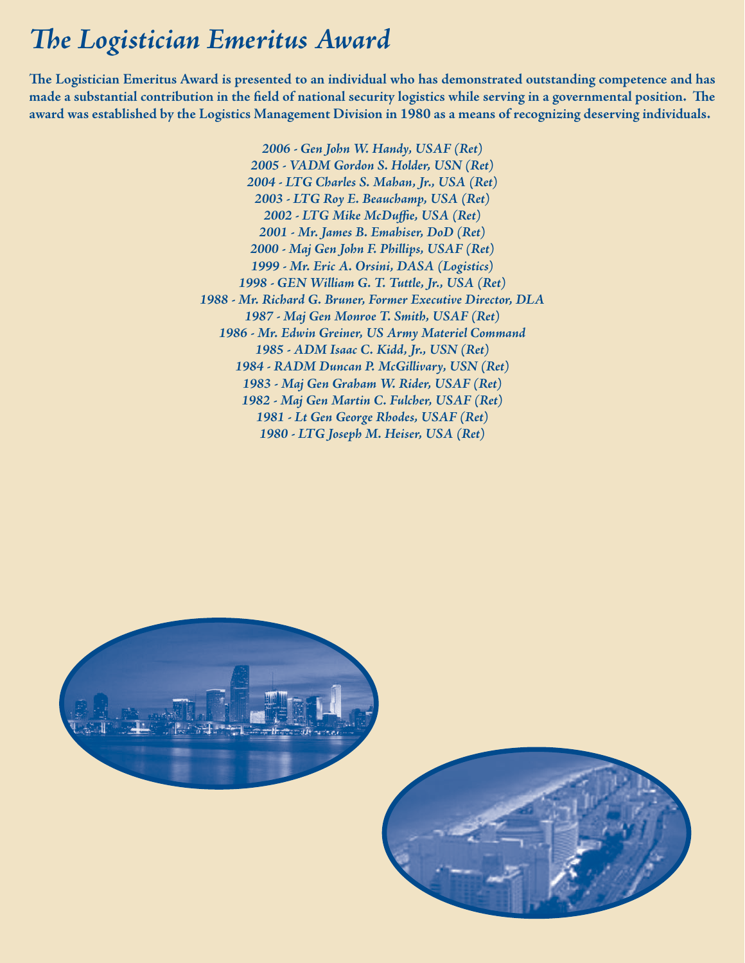### **The Logistician Emeritus Award**

The Logistician Emeritus Award is presented to an individual who has demonstrated outstanding competence and has made a substantial contribution in the field of national security logistics while serving in a governmental position. The **award was established by the Logistics Management Division in 1980 as a means of recognizing deserving individuals.**

> *2006 - Gen John W. Handy, USAF (Ret) 2005 - VADM Gordon S. Holder, USN (Ret) 2004 - LTG Charles S. Mahan, Jr., USA (Ret) 2003 - LTG Roy E. Beauchamp, USA (Ret)* 2002 - LTG Mike McDuffie, USA (Ret) *2001 - Mr. James B. Emahiser, DoD (Ret) 2000 - Maj Gen John F. Phillips, USAF (Ret) 1999 - Mr. Eric A. Orsini, DASA (Logistics) 1998 - GEN William G. T. Tuttle, Jr., USA (Ret) 1988 - Mr. Richard G. Bruner, Former Executive Director, DLA 1987 - Maj Gen Monroe T. Smith, USAF (Ret) 1986 - Mr. Edwin Greiner, US Army Materiel Command 1985 - ADM Isaac C. Kidd, Jr., USN (Ret) 1984 - RADM Duncan P. McGillivary, USN (Ret) 1983 - Maj Gen Graham W. Rider, USAF (Ret) 1982 - Maj Gen Martin C. Fulcher, USAF (Ret) 1981 - Lt Gen George Rhodes, USAF (Ret) 1980 - LTG Joseph M. Heiser, USA (Ret)*



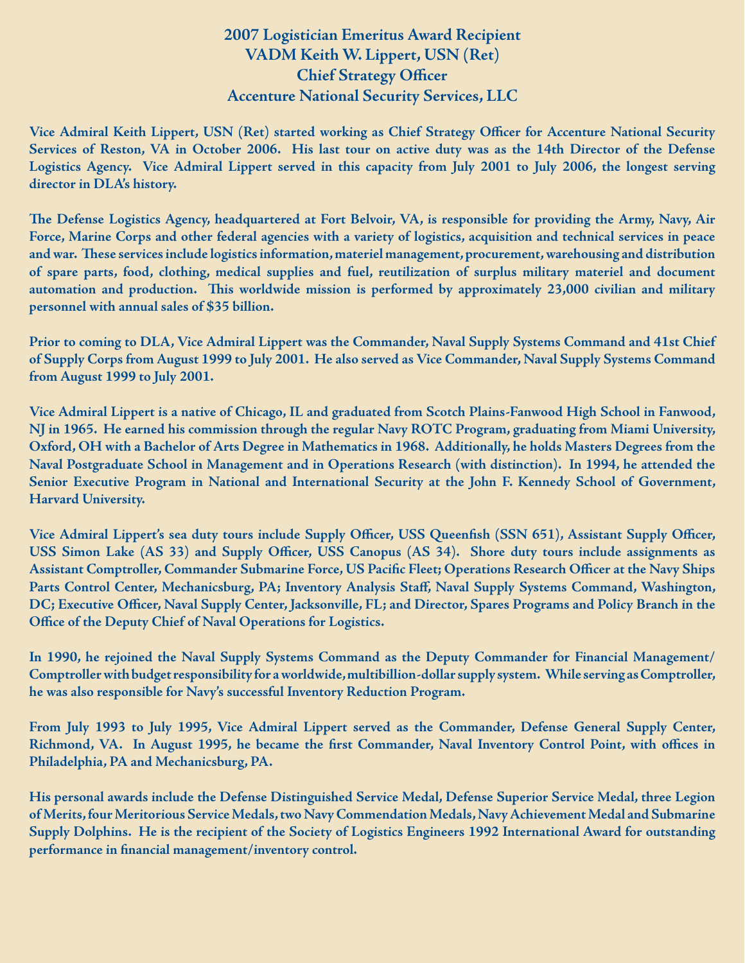#### **2007 Logistician Emeritus Award Recipient VADM Keith W. Lippert, USN (Ret) Chief Strategy Officer Accenture National Security Services, LLC**

Vice Admiral Keith Lippert, USN (Ret) started working as Chief Strategy Officer for Accenture National Security **Services of Reston, VA in October 2006. His last tour on active duty was as the 14th Director of the Defense Logistics Agency. Vice Admiral Lippert served in this capacity from July 2001 to July 2006, the longest serving director in DLA's history.**

The Defense Logistics Agency, headquartered at Fort Belvoir, VA, is responsible for providing the Army, Navy, Air **Force, Marine Corps and other federal agencies with a variety of logistics, acquisition and technical services in peace**  and war. These services include logistics information, materiel management, procurement, warehousing and distribution **of spare parts, food, clothing, medical supplies and fuel, reutilization of surplus military materiel and document** automation and production. This worldwide mission is performed by approximately 23,000 civilian and military **personnel with annual sales of \$35 billion.**

**Prior to coming to DLA, Vice Admiral Lippert was the Commander, Naval Supply Systems Command and 41st Chief of Supply Corps from August 1999 to July 2001. He also served as Vice Commander, Naval Supply Systems Command from August 1999 to July 2001.**

**Vice Admiral Lippert is a native of Chicago, IL and graduated from Scotch Plains-Fanwood High School in Fanwood, NJ in 1965. He earned his commission through the regular Navy ROTC Program, graduating from Miami University, Oxford, OH with a Bachelor of Arts Degree in Mathematics in 1968. Additionally, he holds Masters Degrees from the Naval Postgraduate School in Management and in Operations Research (with distinction). In 1994, he attended the Senior Executive Program in National and International Security at the John F. Kennedy School of Government, Harvard University.**

Vice Admiral Lippert's sea duty tours include Supply Officer, USS Queenfish (SSN 651), Assistant Supply Officer, USS Simon Lake (AS 33) and Supply Officer, USS Canopus (AS 34). Shore duty tours include assignments as Assistant Comptroller, Commander Submarine Force, US Pacific Fleet; Operations Research Officer at the Navy Ships Parts Control Center, Mechanicsburg, PA; Inventory Analysis Staff, Naval Supply Systems Command, Washington, DC; Executive Officer, Naval Supply Center, Jacksonville, FL; and Director, Spares Programs and Policy Branch in the **Office of the Deputy Chief of Naval Operations for Logistics.** 

**In 1990, he rejoined the Naval Supply Systems Command as the Deputy Commander for Financial Management/ Comptroller with budget responsibility for a worldwide, multibillion-dollar supply system. While serving as Comptroller, he was also responsible for Navy's successful Inventory Reduction Program.**

**From July 1993 to July 1995, Vice Admiral Lippert served as the Commander, Defense General Supply Center,**  Richmond, VA. In August 1995, he became the first Commander, Naval Inventory Control Point, with offices in **Philadelphia, PA and Mechanicsburg, PA.**

**His personal awards include the Defense Distinguished Service Medal, Defense Superior Service Medal, three Legion of Merits, four Meritorious Service Medals, two Navy Commendation Medals, Navy Achievement Medal and Submarine Supply Dolphins. He is the recipient of the Society of Logistics Engineers 1992 International Award for outstanding**  performance in financial management/inventory control.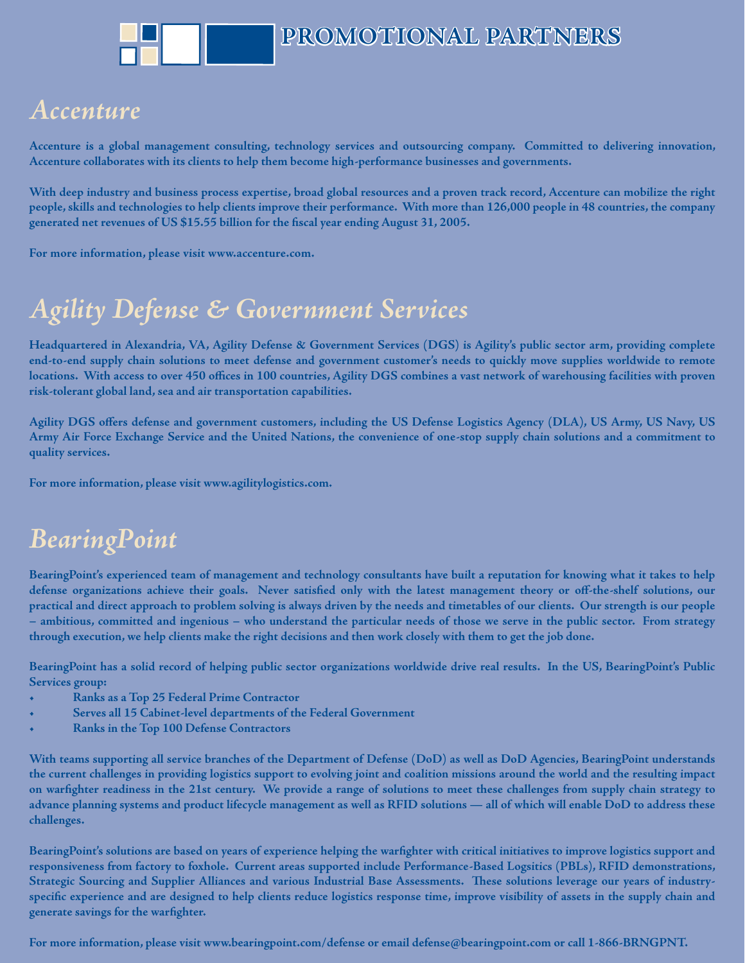# *Accenture ccenture*

**Accenture is a global management consulting, technology services and outsourcing company. Committed to delivering innovation, Accenture collaborates with its clients to help them become high-performance businesses and governments.**

**With deep industry and business process expertise, broad global resources and a proven track record, Accenture can mobilize the right people, skills and technologies to help clients improve their performance. With more than 126,000 people in 48 countries, the company**  generated net revenues of US \$15.55 billion for the fiscal year ending August 31, 2005.

**For more information, please visit www.accenture.com.**

### *Agility Defense & Government Services gility*

**Headquartered in Alexandria, VA, Agility Defense & Government Services (DGS) is Agility's public sector arm, providing complete end-to-end supply chain solutions to meet defense and government customer's needs to quickly move supplies worldwide to remote**  locations. With access to over 450 offices in 100 countries, Agility DGS combines a vast network of warehousing facilities with proven **risk-tolerant global land, sea and air transportation capabilities.** 

Agility DGS offers defense and government customers, including the US Defense Logistics Agency (DLA), US Army, US Navy, US **Army Air Force Exchange Service and the United Nations, the convenience of one-stop supply chain solutions and a commitment to quality services.** 

**For more information, please visit www.agilitylogistics.com.**

### *BearingPoint earingPoint*

**BearingPoint's experienced team of management and technology consultants have built a reputation for knowing what it takes to help**  defense organizations achieve their goals. Never satisfied only with the latest management theory or off-the-shelf solutions, our **practical and direct approach to problem solving is always driven by the needs and timetables of our clients. Our strength is our people – ambitious, committed and ingenious – who understand the particular needs of those we serve in the public sector. From strategy through execution, we help clients make the right decisions and then work closely with them to get the job done.**

**BearingPoint has a solid record of helping public sector organizations worldwide drive real results. In the US, BearingPoint's Public Services group:** 

- **Ranks as a Top 25 Federal Prime Contractor**
- **Serves all 15 Cabinet-level departments of the Federal Government**
- **Ranks in the Top 100 Defense Contractors**

**With teams supporting all service branches of the Department of Defense (DoD) as well as DoD Agencies, BearingPoint understands the current challenges in providing logistics support to evolving joint and coalition missions around the world and the resulting impact**  on warfighter readiness in the 21st century. We provide a range of solutions to meet these challenges from supply chain strategy to **advance planning systems and product lifecycle management as well as RFID solutions — all of which will enable DoD to address these challenges.**

BearingPoint's solutions are based on years of experience helping the warfighter with critical initiatives to improve logistics support and **responsiveness from factory to foxhole. Current areas supported include Performance-Based Logsitics (PBLs), RFID demonstrations,**  Strategic Sourcing and Supplier Alliances and various Industrial Base Assessments. These solutions leverage our years of industryspecific experience and are designed to help clients reduce logistics response time, improve visibility of assets in the supply chain and generate savings for the warfighter.

**For more information, please visit www.bearingpoint.com/defense or email defense@bearingpoint.com or call 1-866-BRNGPNT.**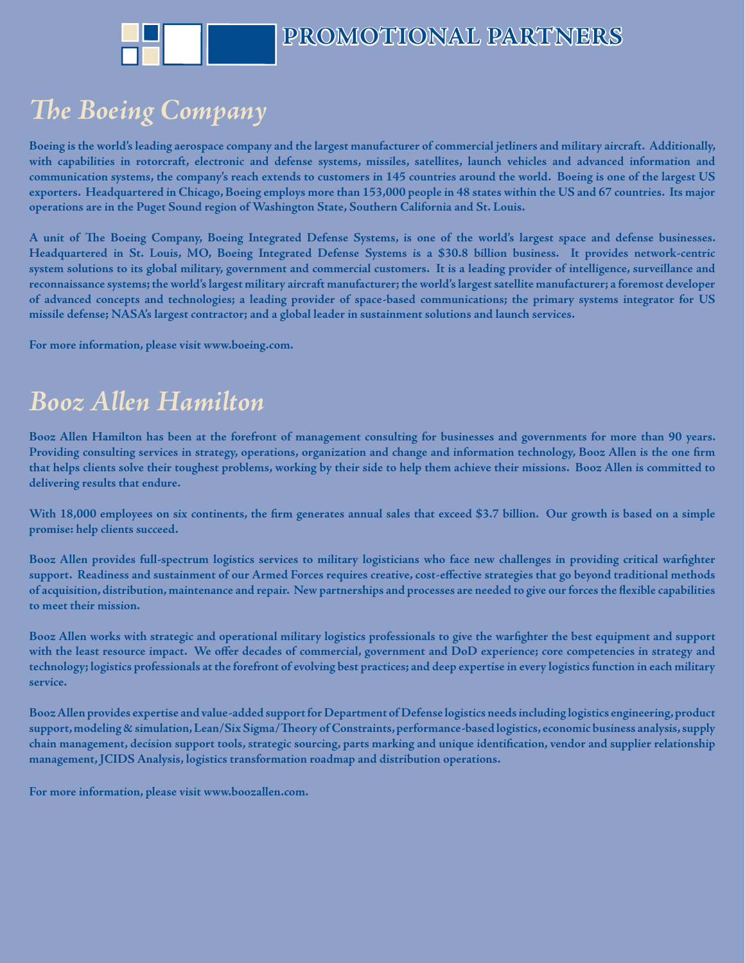# **The Boeing Company**

**Boeing is the world's leading aerospace company and the largest manufacturer of commercial jetliners and military aircraft. Additionally, with capabilities in rotorcraft, electronic and defense systems, missiles, satellites, launch vehicles and advanced information and communication systems, the company's reach extends to customers in 145 countries around the world. Boeing is one of the largest US exporters. Headquartered in Chicago, Boeing employs more than 153,000 people in 48 states within the US and 67 countries. Its major operations are in the Puget Sound region of Washington State, Southern California and St. Louis.** 

A unit of The Boeing Company, Boeing Integrated Defense Systems, is one of the world's largest space and defense businesses. **Headquartered in St. Louis, MO, Boeing Integrated Defense Systems is a \$30.8 billion business. It provides network-centric system solutions to its global military, government and commercial customers. It is a leading provider of intelligence, surveillance and reconnaissance systems; the world's largest military aircraft manufacturer; the world's largest satellite manufacturer; a foremost developer of advanced concepts and technologies; a leading provider of space-based communications; the primary systems integrator for US missile defense; NASA's largest contractor; and a global leader in sustainment solutions and launch services.**

**For more information, please visit www.boeing.com.**

# *Booz Allen Hamilton ooz*

**Booz Allen Hamilton has been at the forefront of management consulting for businesses and governments for more than 90 years.**  Providing consulting services in strategy, operations, organization and change and information technology, Booz Allen is the one firm **that helps clients solve their toughest problems, working by their side to help them achieve their missions. Booz Allen is committed to delivering results that endure.**

With 18,000 employees on six continents, the firm generates annual sales that exceed \$3.7 billion. Our growth is based on a simple **promise: help clients succeed.** 

Booz Allen provides full-spectrum logistics services to military logisticians who face new challenges in providing critical warfighter support. Readiness and sustainment of our Armed Forces requires creative, cost-effective strategies that go beyond traditional methods of acquisition, distribution, maintenance and repair. New partnerships and processes are needed to give our forces the flexible capabilities **to meet their mission.**

Booz Allen works with strategic and operational military logistics professionals to give the warfighter the best equipment and support with the least resource impact. We offer decades of commercial, government and DoD experience; core competencies in strategy and **technology; logistics professionals at the forefront of evolving best practices; and deep expertise in every logistics function in each military service.**

**Booz Allen provides expertise and value-added support for Department of Defense logistics needs including logistics engineering, product**  support, modeling & simulation, Lean/Six Sigma/Theory of Constraints, performance-based logistics, economic business analysis, supply chain management, decision support tools, strategic sourcing, parts marking and unique identification, vendor and supplier relationship **management, JCIDS Analysis, logistics transformation roadmap and distribution operations.**

**For more information, please visit www.boozallen.com.**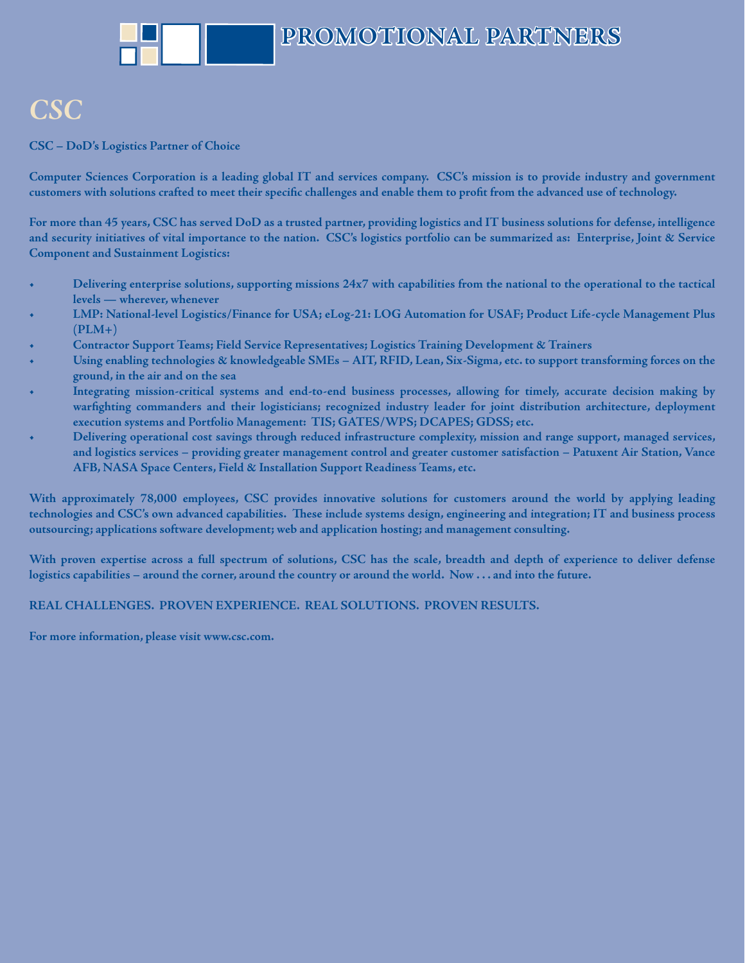### *CSC*

**CSC – DoD's Logistics Partner of Choice**

**Computer Sciences Corporation is a leading global IT and services company. CSC's mission is to provide industry and government customers with solutions crafted to meet their specifi c challenges and enable them to profi t from the advanced use of technology.**

**For more than 45 years, CSC has served DoD as a trusted partner, providing logistics and IT business solutions for defense, intelligence and security initiatives of vital importance to the nation. CSC's logistics portfolio can be summarized as: Enterprise, Joint & Service Component and Sustainment Logistics:**

- **Delivering enterprise solutions, supporting missions 24x7 with capabilities from the national to the operational to the tactical levels — wherever, whenever**
- **LMP: National-level Logistics/Finance for USA; eLog-21: LOG Automation for USAF; Product Life-cycle Management Plus (PLM+)**
- **Contractor Support Teams; Field Service Representatives; Logistics Training Development & Trainers**
- **Using enabling technologies & knowledgeable SMEs AIT, RFID, Lean, Six-Sigma, etc. to support transforming forces on the ground, in the air and on the sea**
- **Integrating mission-critical systems and end-to-end business processes, allowing for timely, accurate decision making by**  warfighting commanders and their logisticians; recognized industry leader for joint distribution architecture, deployment  **execution systems and Portfolio Management: TIS; GATES/WPS; DCAPES; GDSS; etc.**
- **Delivering operational cost savings through reduced infrastructure complexity, mission and range support, managed services, and logistics services – providing greater management control and greater customer satisfaction – Patuxent Air Station, Vance AFB, NASA Space Centers, Field & Installation Support Readiness Teams, etc.**

**With approximately 78,000 employees, CSC provides innovative solutions for customers around the world by applying leading**  technologies and CSC's own advanced capabilities. These include systems design, engineering and integration; IT and business process **outsourcing; applications software development; web and application hosting; and management consulting.** 

**With proven expertise across a full spectrum of solutions, CSC has the scale, breadth and depth of experience to deliver defense logistics capabilities – around the corner, around the country or around the world. Now . . . and into the future.**

**REAL CHALLENGES. PROVEN EXPERIENCE. REAL SOLUTIONS. PROVEN RESULTS.**

**For more information, please visit www.csc.com.**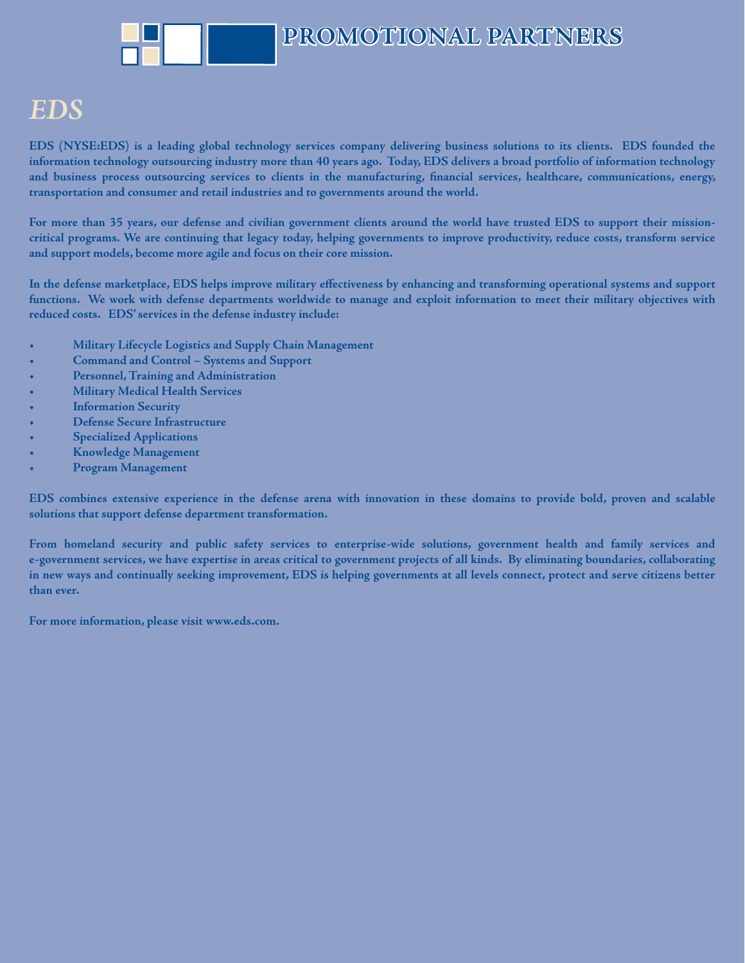#### *EDS*

**EDS (NYSE:EDS) is a leading global technology services company delivering business solutions to its clients. EDS founded the information technology outsourcing industry more than 40 years ago. Today, EDS delivers a broad portfolio of information technology** and business process outsourcing services to clients in the manufacturing, financial services, healthcare, communications, energy, **transportation and consumer and retail industries and to governments around the world.**

**For more than 35 years, our defense and civilian government clients around the world have trusted EDS to support their missioncritical programs. We are continuing that legacy today, helping governments to improve productivity, reduce costs, transform service and support models, become more agile and focus on their core mission.** 

In the defense marketplace, EDS helps improve military effectiveness by enhancing and transforming operational systems and support **functions. We work with defense departments worldwide to manage and exploit information to meet their military objectives with reduced costs. EDS' services in the defense industry include:** 

- **Military Lifecycle Logistics and Supply Chain Management**
- **Command and Control Systems and Support**
- **Personnel, Training and Administration**
- **Military Medical Health Services**
- **Information Security**
- **Defense Secure Infrastructure**
- **Specialized Applications**
- **Knowledge Management**
- **Program Management**

**EDS combines extensive experience in the defense arena with innovation in these domains to provide bold, proven and scalable solutions that support defense department transformation.** 

**From homeland security and public safety services to enterprise-wide solutions, government health and family services and e-government services, we have expertise in areas critical to government projects of all kinds. By eliminating boundaries, collaborating in new ways and continually seeking improvement, EDS is helping governments at all levels connect, protect and serve citizens better than ever.** 

**For more information, please visit www.eds.com.**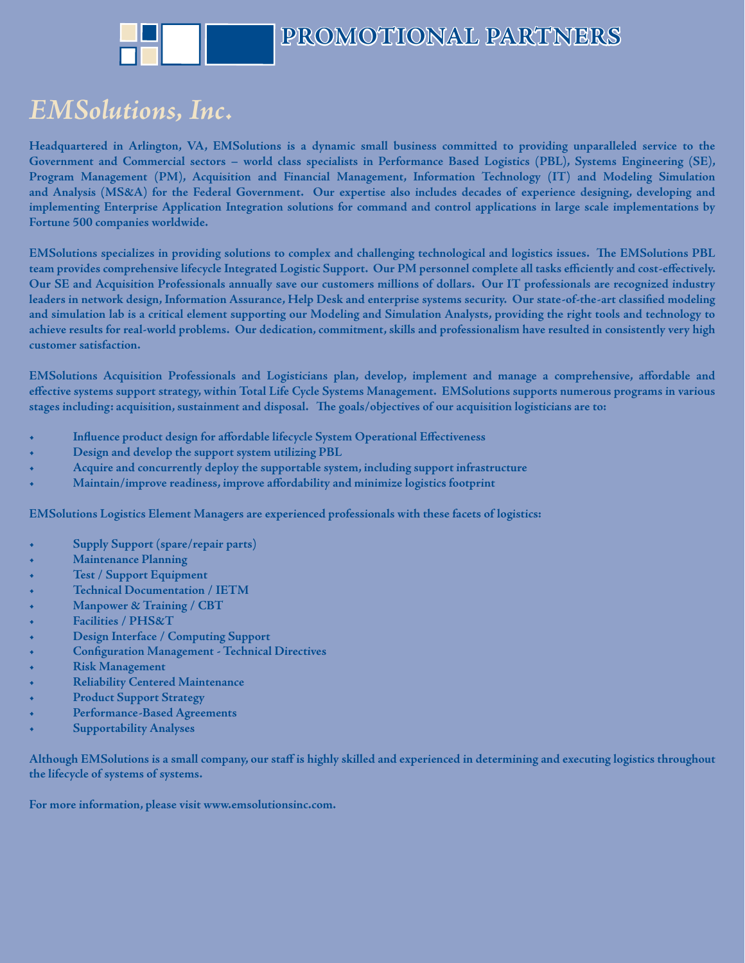

### *EMSolutions, Inc. MSolutions,*

**Headquartered in Arlington, VA, EMSolutions is a dynamic small business committed to providing unparalleled service to the Government and Commercial sectors – world class specialists in Performance Based Logistics (PBL), Systems Engineering (SE), Program Management (PM), Acquisition and Financial Management, Information Technology (IT) and Modeling Simulation and Analysis (MS&A) for the Federal Government. Our expertise also includes decades of experience designing, developing and implementing Enterprise Application Integration solutions for command and control applications in large scale implementations by Fortune 500 companies worldwide.**

EMSolutions specializes in providing solutions to complex and challenging technological and logistics issues. The EMSolutions PBL team provides comprehensive lifecycle Integrated Logistic Support. Our PM personnel complete all tasks efficiently and cost-effectively. **Our SE and Acquisition Professionals annually save our customers millions of dollars. Our IT professionals are recognized industry**  leaders in network design, Information Assurance, Help Desk and enterprise systems security. Our state-of-the-art classified modeling **and simulation lab is a critical element supporting our Modeling and Simulation Analysts, providing the right tools and technology to achieve results for real-world problems. Our dedication, commitment, skills and professionalism have resulted in consistently very high customer satisfaction.**

EMSolutions Acquisition Professionals and Logisticians plan, develop, implement and manage a comprehensive, affordable and effective systems support strategy, within Total Life Cycle Systems Management. EMSolutions supports numerous programs in various stages including: acquisition, sustainment and disposal. The goals/objectives of our acquisition logisticians are to:

- **Influence product design for affordable lifecycle System Operational Effectiveness**
- **Design and develop the support system utilizing PBL**
- **Acquire and concurrently deploy the supportable system, including support infrastructure**
- Maintain/improve readiness, improve affordability and minimize logistics footprint

**EMSolutions Logistics Element Managers are experienced professionals with these facets of logistics:**

- **Supply Support (spare/repair parts)**
- **Maintenance Planning**
- **Test / Support Equipment**
- **Technical Documentation / IETM**
- **Manpower & Training / CBT**
- **Facilities / PHS&T**
- **Design Interface / Computing Support**
- $\bullet$  **Configuration Management Technical Directives**
- **Risk Management**
- **Reliability Centered Maintenance**
- **Product Support Strategy**
- **Performance-Based Agreements**
- **Supportability Analyses**

**Although EMSolutions is a small company, our staff is highly skilled and experienced in determining and executing logistics throughout the lifecycle of systems of systems.**

**For more information, please visit www.emsolutionsinc.com.**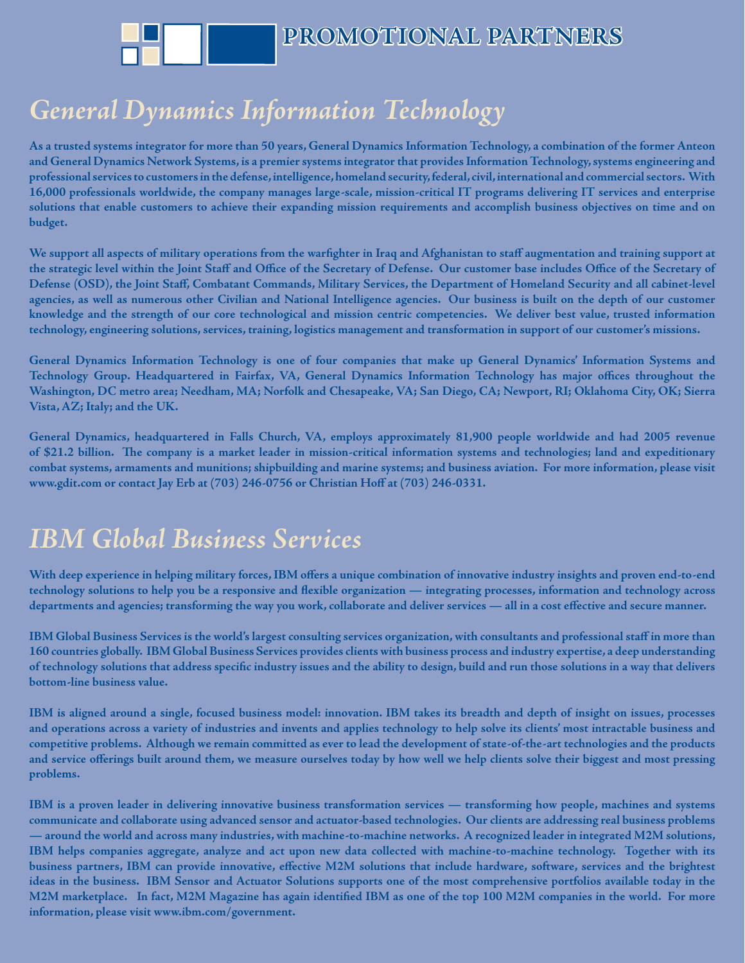

## *General Dynamics Information Technology*

**As a trusted systems integrator for more than 50 years, General Dynamics Information Technology, a combination of the former Anteon and General Dynamics Network Systems, is a premier systems integrator that provides Information Technology, systems engineering and professional services to customers in the defense, intelligence, homeland security, federal, civil, international and commercial sectors. With 16,000 professionals worldwide, the company manages large-scale, mission-critical IT programs delivering IT services and enterprise solutions that enable customers to achieve their expanding mission requirements and accomplish business objectives on time and on budget.**

We support all aspects of military operations from the warfighter in Iraq and Afghanistan to staff augmentation and training support at the strategic level within the Joint Staff and Office of the Secretary of Defense. Our customer base includes Office of the Secretary of **Defense (OSD), the Joint Staff , Combatant Commands, Military Services, the Department of Homeland Security and all cabinet-level agencies, as well as numerous other Civilian and National Intelligence agencies. Our business is built on the depth of our customer knowledge and the strength of our core technological and mission centric competencies. We deliver best value, trusted information technology, engineering solutions, services, training, logistics management and transformation in support of our customer's missions.** 

**General Dynamics Information Technology is one of four companies that make up General Dynamics' Information Systems and** Technology Group. Headquartered in Fairfax, VA, General Dynamics Information Technology has major offices throughout the **Washington, DC metro area; Needham, MA; Norfolk and Chesapeake, VA; San Diego, CA; Newport, RI; Oklahoma City, OK; Sierra Vista, AZ; Italy; and the UK.** 

**General Dynamics, headquartered in Falls Church, VA, employs approximately 81,900 people worldwide and had 2005 revenue**  of \$21.2 billion. The company is a market leader in mission-critical information systems and technologies; land and expeditionary **combat systems, armaments and munitions; shipbuilding and marine systems; and business aviation. For more information, please visit www.gdit.com or contact Jay Erb at (703) 246-0756 or Christian Hoff at (703) 246-0331.**

### *IBM Global Business Services*

With deep experience in helping military forces, IBM offers a unique combination of innovative industry insights and proven end-to-end technology solutions to help you be a responsive and flexible organization — integrating processes, information and technology across departments and agencies; transforming the way you work, collaborate and deliver services — all in a cost effective and secure manner.

**IBM Global Business Services is the world's largest consulting services organization, with consultants and professional staff in more than 160 countries globally. IBM Global Business Services provides clients with business process and industry expertise, a deep understanding**  of technology solutions that address specific industry issues and the ability to design, build and run those solutions in a way that delivers **bottom-line business value.** 

**IBM is aligned around a single, focused business model: innovation. IBM takes its breadth and depth of insight on issues, processes and operations across a variety of industries and invents and applies technology to help solve its clients' most intractable business and competitive problems. Although we remain committed as ever to lead the development of state-of-the-art technologies and the products**  and service offerings built around them, we measure ourselves today by how well we help clients solve their biggest and most pressing **problems.**

**IBM is a proven leader in delivering innovative business transformation services — transforming how people, machines and systems communicate and collaborate using advanced sensor and actuator-based technologies. Our clients are addressing real business problems — around the world and across many industries, with machine-to-machine networks. A recognized leader in integrated M2M solutions, IBM helps companies aggregate, analyze and act upon new data collected with machine-to-machine technology. Together with its**  business partners, IBM can provide innovative, effective M2M solutions that include hardware, software, services and the brightest **ideas in the business. IBM Sensor and Actuator Solutions supports one of the most comprehensive portfolios available today in the**  M2M marketplace. In fact, M2M Magazine has again identified IBM as one of the top 100 M2M companies in the world. For more **information, please visit www.ibm.com/government.**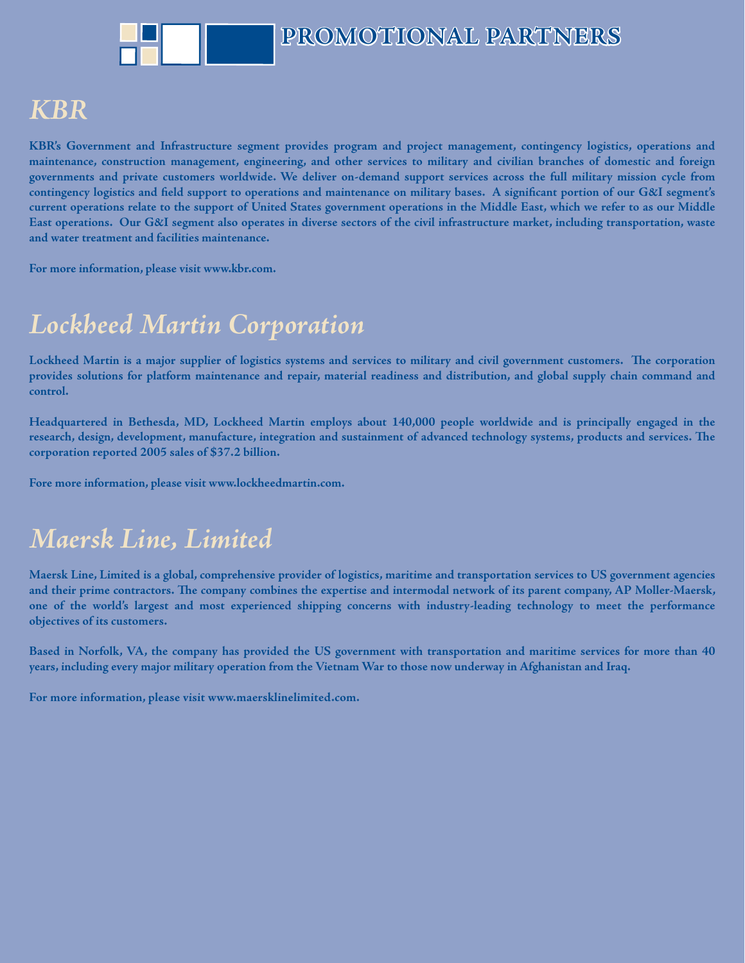### *KBR*

**KBR's Government and Infrastructure segment provides program and project management, contingency logistics, operations and maintenance, construction management, engineering, and other services to military and civilian branches of domestic and foreign governments and private customers worldwide. We deliver on-demand support services across the full military mission cycle from** contingency logistics and field support to operations and maintenance on military bases. A significant portion of our G&I segment's **current operations relate to the support of United States government operations in the Middle East, which we refer to as our Middle East operations. Our G&I segment also operates in diverse sectors of the civil infrastructure market, including transportation, waste and water treatment and facilities maintenance.** 

**For more information, please visit www.kbr.com.**

### *Lockheed Martin Corporation ockheed Martin Corporation*

Lockheed Martin is a major supplier of logistics systems and services to military and civil government customers. The corporation **provides solutions for platform maintenance and repair, material readiness and distribution, and global supply chain command and control.** 

**Headquartered in Bethesda, MD, Lockheed Martin employs about 140,000 people worldwide and is principally engaged in the** research, design, development, manufacture, integration and sustainment of advanced technology systems, products and services. The **corporation reported 2005 sales of \$37.2 billion.**

**Fore more information, please visit www.lockheedmartin.com.**

### *Maersk Line, Limited aersk*

**Maersk Line, Limited is a global, comprehensive provider of logistics, maritime and transportation services to US government agencies**  and their prime contractors. The company combines the expertise and intermodal network of its parent company, AP Moller-Maersk, **one of the world's largest and most experienced shipping concerns with industry-leading technology to meet the performance objectives of its customers.**

**Based in Norfolk, VA, the company has provided the US government with transportation and maritime services for more than 40 years, including every major military operation from the Vietnam War to those now underway in Afghanistan and Iraq.**

**For more information, please visit www.maersklinelimited.com.**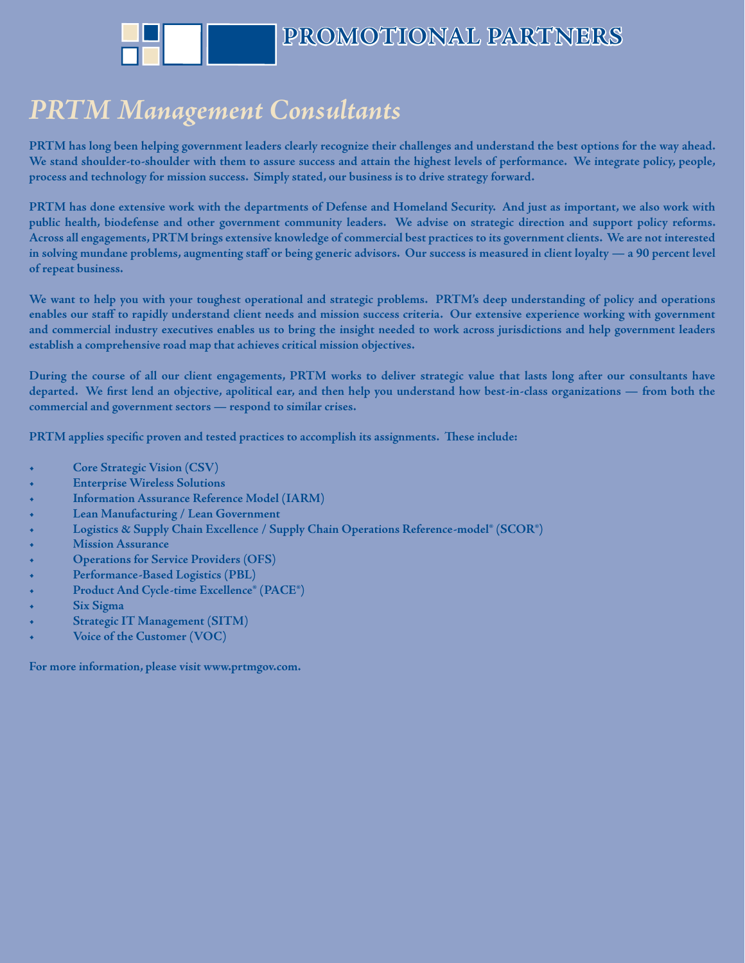### $\bf PRTM$  *Management Consultants*

**PRTM has long been helping government leaders clearly recognize their challenges and understand the best options for the way ahead. We stand shoulder-to-shoulder with them to assure success and attain the highest levels of performance. We integrate policy, people, process and technology for mission success. Simply stated, our business is to drive strategy forward.** 

**PRTM has done extensive work with the departments of Defense and Homeland Security. And just as important, we also work with public health, biodefense and other government community leaders. We advise on strategic direction and support policy reforms. Across all engagements, PRTM brings extensive knowledge of commercial best practices to its government clients. We are not interested in solving mundane problems, augmenting staff or being generic advisors. Our success is measured in client loyalty — a 90 percent level of repeat business.** 

**We want to help you with your toughest operational and strategic problems. PRTM's deep understanding of policy and operations enables our staff to rapidly understand client needs and mission success criteria. Our extensive experience working with government and commercial industry executives enables us to bring the insight needed to work across jurisdictions and help government leaders establish a comprehensive road map that achieves critical mission objectives.** 

**During the course of all our client engagements, PRTM works to deliver strategic value that lasts long after our consultants have**  departed. We first lend an objective, apolitical ear, and then help you understand how best-in-class organizations — from both the **commercial and government sectors — respond to similar crises.** 

PRTM applies specific proven and tested practices to accomplish its assignments. These include:

- **Core Strategic Vision (CSV)**
- **Enterprise Wireless Solutions**
- **Information Assurance Reference Model (IARM)**
- **Lean Manufacturing / Lean Government**
- **Logistics & Supply Chain Excellence / Supply Chain Operations Reference-model® (SCOR®)**
- **Mission Assurance**
- **Operations for Service Providers (OFS)**
- **Performance-Based Logistics (PBL)**
- **Product And Cycle-time Excellence® (PACE®)**
- **Six Sigma**
- **Strategic IT Management (SITM)**
- **Voice of the Customer (VOC)**

**For more information, please visit www.prtmgov.com.**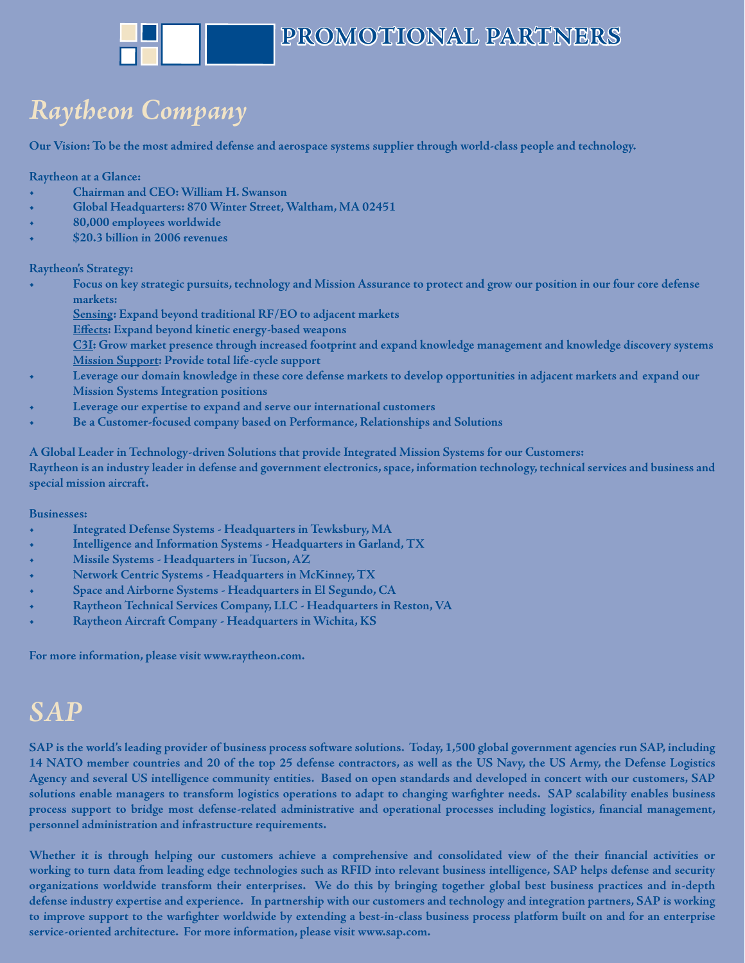# *Raytheon Company aytheon*

**Our Vision: To be the most admired defense and aerospace systems supplier through world-class people and technology.**

**Raytheon at a Glance:**

- **Chairman and CEO: William H. Swanson**
- **Global Headquarters: 870 Winter Street, Waltham, MA 02451**
- **80,000 employees worldwide**
- **\$20.3 billion in 2006 revenues**

#### **Raytheon's Strategy:**

- **Focus on key strategic pursuits, technology and Mission Assurance to protect and grow our position in our four core defense markets:**
	- **Sensing: Expand beyond traditional RF/EO to adjacent markets**
		- **Effects: Expand beyond kinetic energy-based weapons**
		- **C3I: Grow market presence through increased footprint and expand knowledge management and knowledge discovery systems Mission Support: Provide total life-cycle support**
- **Leverage our domain knowledge in these core defense markets to develop opportunities in adjacent markets and expand our Mission Systems Integration positions**
- **Leverage our expertise to expand and serve our international customers**
- **Be a Customer-focused company based on Performance, Relationships and Solutions**

**A Global Leader in Technology-driven Solutions that provide Integrated Mission Systems for our Customers: Raytheon is an industry leader in defense and government electronics, space, information technology, technical services and business and special mission aircraft.**

**Businesses:**

- **Integrated Defense Systems Headquarters in Tewksbury, MA**
- **Intelligence and Information Systems Headquarters in Garland, TX**
- **Missile Systems Headquarters in Tucson, AZ**
- **Network Centric Systems Headquarters in McKinney, TX**
- **Space and Airborne Systems Headquarters in El Segundo, CA**
- **Raytheon Technical Services Company, LLC Headquarters in Reston, VA**
- **Raytheon Aircraft Company Headquarters in Wichita, KS**

**For more information, please visit www.raytheon.com.**

### *SAP*

**SAP is the world's leading provider of business process software solutions. Today, 1,500 global government agencies run SAP, including 14 NATO member countries and 20 of the top 25 defense contractors, as well as the US Navy, the US Army, the Defense Logistics Agency and several US intelligence community entities. Based on open standards and developed in concert with our customers, SAP**  solutions enable managers to transform logistics operations to adapt to changing warfighter needs. SAP scalability enables business process support to bridge most defense-related administrative and operational processes including logistics, financial management, **personnel administration and infrastructure requirements.** 

Whether it is through helping our customers achieve a comprehensive and consolidated view of the their financial activities or **working to turn data from leading edge technologies such as RFID into relevant business intelligence, SAP helps defense and security organizations worldwide transform their enterprises. We do this by bringing together global best business practices and in-depth defense industry expertise and experience. In partnership with our customers and technology and integration partners, SAP is working**  to improve support to the warfighter worldwide by extending a best-in-class business process platform built on and for an enterprise **service-oriented architecture. For more information, please visit www.sap.com.**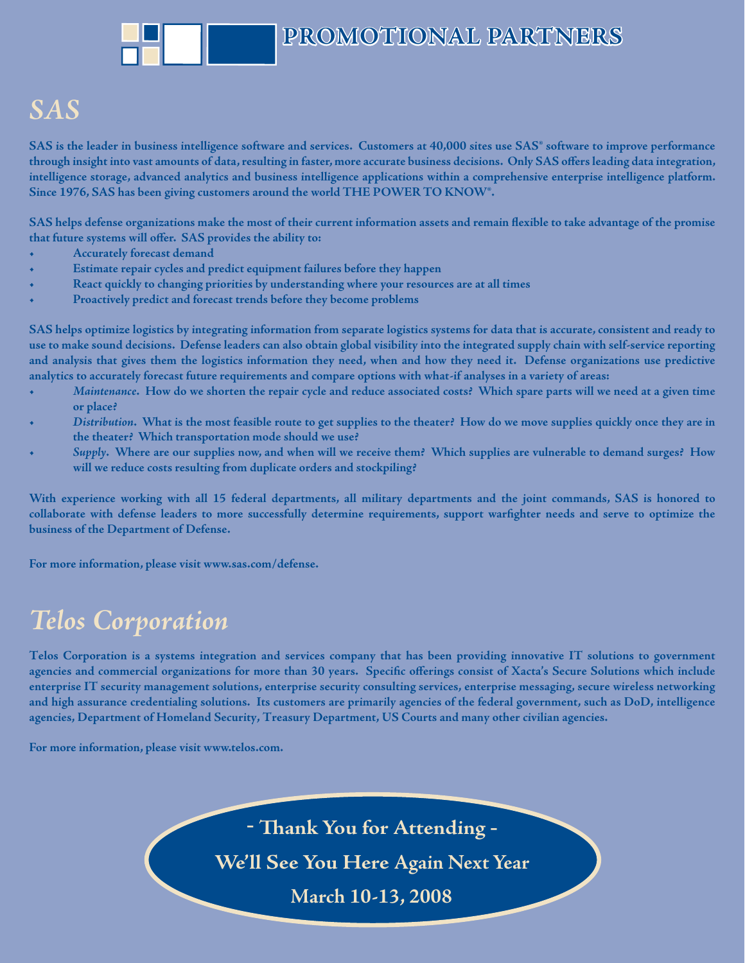### *SAS*

SAS is the leader in business intelligence software and services. Customers at 40,000 sites use SAS<sup>®</sup> software to improve performance through insight into vast amounts of data, resulting in faster, more accurate business decisions. Only SAS offers leading data integration, **intelligence storage, advanced analytics and business intelligence applications within a comprehensive enterprise intelligence platform. Since 1976, SAS has been giving customers around the world THE POWER TO KNOW®.**

SAS helps defense organizations make the most of their current information assets and remain flexible to take advantage of the promise that future systems will offer. SAS provides the ability to:

- **Accurately forecast demand**
- **Estimate repair cycles and predict equipment failures before they happen**
- **React quickly to changing priorities by understanding where your resources are at all times**
- **Proactively predict and forecast trends before they become problems**

**SAS helps optimize logistics by integrating information from separate logistics systems for data that is accurate, consistent and ready to use to make sound decisions. Defense leaders can also obtain global visibility into the integrated supply chain with self-service reporting and analysis that gives them the logistics information they need, when and how they need it. Defense organizations use predictive analytics to accurately forecast future requirements and compare options with what-if analyses in a variety of areas:** 

- *Maintenance***. How do we shorten the repair cycle and reduce associated costs? Which spare parts will we need at a given time or place?**
- *Distribution***. What is the most feasible route to get supplies to the theater? How do we move supplies quickly once they are in the theater? Which transportation mode should we use?**
- *Supply***. Where are our supplies now, and when will we receive them? Which supplies are vulnerable to demand surges? How will we reduce costs resulting from duplicate orders and stockpiling?**

**With experience working with all 15 federal departments, all military departments and the joint commands, SAS is honored to**  collaborate with defense leaders to more successfully determine requirements, support warfighter needs and serve to optimize the **business of the Department of Defense.** 

**For more information, please visit www.sas.com/defense.** 

### $Telos$  *Corporation*

**Telos Corporation is a systems integration and services company that has been providing innovative IT solutions to government**  agencies and commercial organizations for more than 30 years. Specific offerings consist of Xacta's Secure Solutions which include **enterprise IT security management solutions, enterprise security consulting services, enterprise messaging, secure wireless networking and high assurance credentialing solutions. Its customers are primarily agencies of the federal government, such as DoD, intelligence agencies, Department of Homeland Security, Treasury Department, US Courts and many other civilian agencies.**

**For more information, please visit www.telos.com.**

**- Th ank You for Attending -**

**We'll See You Here Again Next Year**

**March 10-13, 2008**